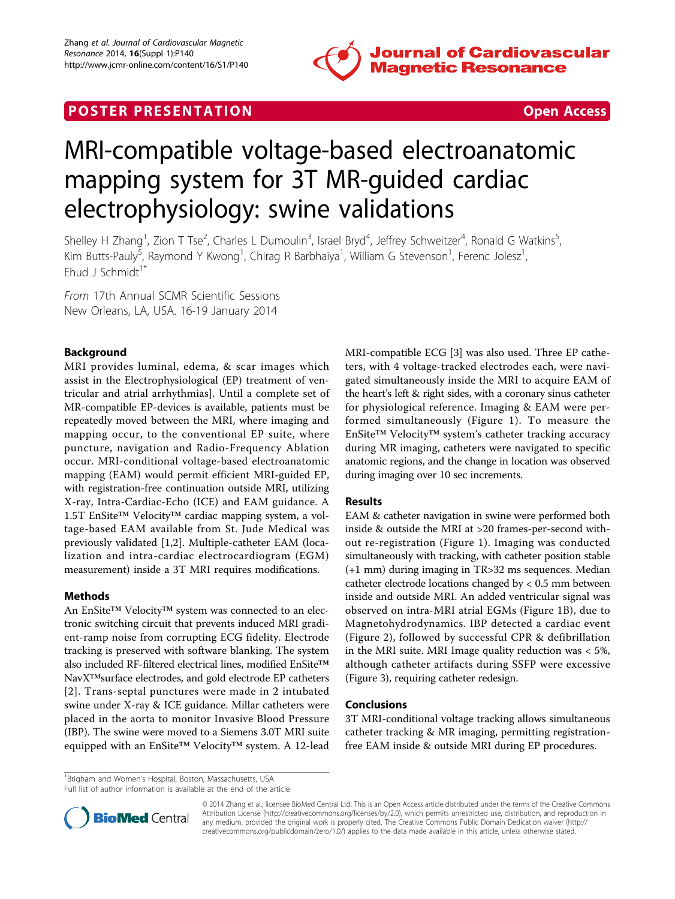

# **POSTER PRESENTATION CONSUMING THE SECOND CONSUMING THE SECOND CONSUMING THE SECOND CONSUMING THE SECOND CONSUMING THE SECOND CONSUMING THE SECOND CONSUMING THE SECOND CONSUMING THE SECOND CONSUMING THE SECOND CONSUMING**



# MRI-compatible voltage-based electroanatomic mapping system for 3T MR-guided cardiac electrophysiology: swine validations

Shelley H Zhang<sup>1</sup>, Zion T Tse<sup>2</sup>, Charles L Dumoulin<sup>3</sup>, Israel Bryd<sup>4</sup>, Jeffrey Schweitzer<sup>4</sup>, Ronald G Watkins<sup>5</sup> , Kim Butts-Pauly<sup>5</sup>, Raymond Y Kwong<sup>1</sup>, Chirag R Barbhaiya<sup>1</sup>, William G Stevenson<sup>1</sup>, Ferenc Jolesz<sup>1</sup> , Ehud J Schmidt<sup>1\*</sup>

From 17th Annual SCMR Scientific Sessions New Orleans, LA, USA. 16-19 January 2014

# Background

MRI provides luminal, edema, & scar images which assist in the Electrophysiological (EP) treatment of ventricular and atrial arrhythmias]. Until a complete set of MR-compatible EP-devices is available, patients must be repeatedly moved between the MRI, where imaging and mapping occur, to the conventional EP suite, where puncture, navigation and Radio-Frequency Ablation occur. MRI-conditional voltage-based electroanatomic mapping (EAM) would permit efficient MRI-guided EP, with registration-free continuation outside MRI, utilizing X-ray, Intra-Cardiac-Echo (ICE) and EAM guidance. A 1.5T EnSite™ Velocity™ cardiac mapping system, a voltage-based EAM available from St. Jude Medical was previously validated [[1,2\]](#page-2-0). Multiple-catheter EAM (localization and intra-cardiac electrocardiogram (EGM) measurement) inside a 3T MRI requires modifications.

# Methods

An EnSite™ Velocity™ system was connected to an electronic switching circuit that prevents induced MRI gradient-ramp noise from corrupting ECG fidelity. Electrode tracking is preserved with software blanking. The system also included RF-filtered electrical lines, modified EnSite™ NavX™surface electrodes, and gold electrode EP catheters [[2](#page-2-0)]. Trans-septal punctures were made in 2 intubated swine under X-ray & ICE guidance. Millar catheters were placed in the aorta to monitor Invasive Blood Pressure (IBP). The swine were moved to a Siemens 3.0T MRI suite equipped with an EnSite™ Velocity™ system. A 12-lead MRI-compatible ECG [\[3](#page-2-0)] was also used. Three EP catheters, with 4 voltage-tracked electrodes each, were navigated simultaneously inside the MRI to acquire EAM of the heart's left & right sides, with a coronary sinus catheter for physiological reference. Imaging & EAM were performed simultaneously (Figure [1\)](#page-1-0). To measure the EnSite™ Velocity™ system's catheter tracking accuracy during MR imaging, catheters were navigated to specific anatomic regions, and the change in location was observed during imaging over 10 sec increments.

# Results

EAM & catheter navigation in swine were performed both inside & outside the MRI at >20 frames-per-second without re-registration (Figure [1](#page-1-0)). Imaging was conducted simultaneously with tracking, with catheter position stable (+1 mm) during imaging in TR>32 ms sequences. Median catheter electrode locations changed by < 0.5 mm between inside and outside MRI. An added ventricular signal was observed on intra-MRI atrial EGMs (Figure [1B\)](#page-1-0), due to Magnetohydrodynamics. IBP detected a cardiac event (Figure [2\)](#page-1-0), followed by successful CPR & defibrillation in the MRI suite. MRI Image quality reduction was < 5%, although catheter artifacts during SSFP were excessive (Figure [3](#page-1-0)), requiring catheter redesign.

# Conclusions

3T MRI-conditional voltage tracking allows simultaneous catheter tracking & MR imaging, permitting registrationfree EAM inside & outside MRI during EP procedures.

<sup>1</sup> Brigham and Women's Hospital, Boston, Massachusetts, USA Full list of author information is available at the end of the article



© 2014 Zhang et al.; licensee BioMed Central Ltd. This is an Open Access article distributed under the terms of the Creative Commons Attribution License [\(http://creativecommons.org/licenses/by/2.0](http://creativecommons.org/licenses/by/2.0)), which permits unrestricted use, distribution, and reproduction in any medium, provided the original work is properly cited. The Creative Commons Public Domain Dedication waiver [\(http://](http://creativecommons.org/publicdomain/zero/1.0/) [creativecommons.org/publicdomain/zero/1.0/](http://creativecommons.org/publicdomain/zero/1.0/)) applies to the data made available in this article, unless otherwise stated.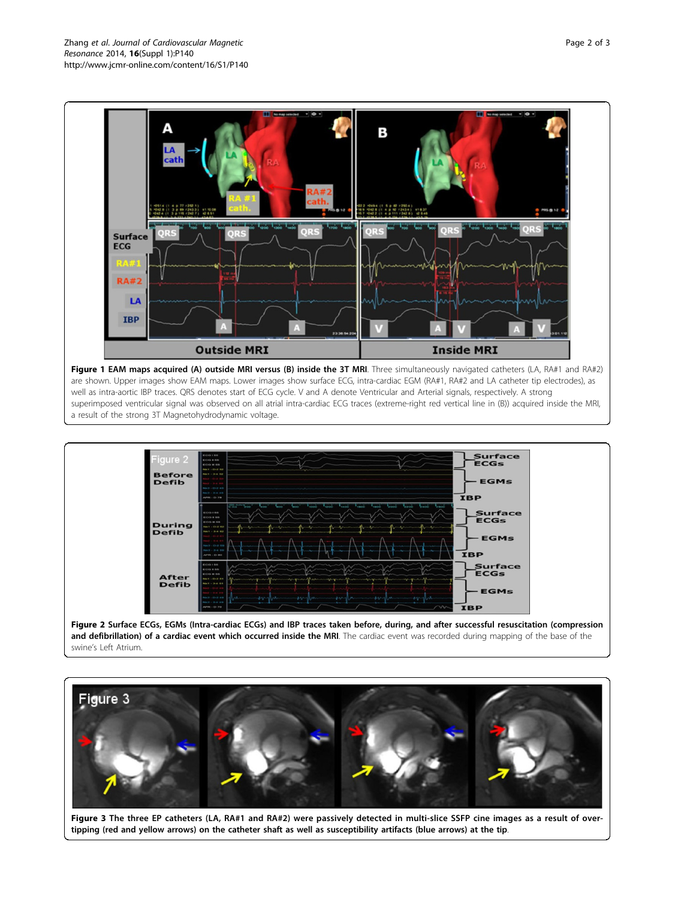<span id="page-1-0"></span>

Figure 1 EAM maps acquired (A) outside MRI versus (B) inside the 3T MRI. Three simultaneously navigated catheters (LA, RA#1 and RA#2) are shown. Upper images show EAM maps. Lower images show surface ECG, intra-cardiac EGM (RA#1, RA#2 and LA catheter tip electrodes), as well as intra-aortic IBP traces. QRS denotes start of ECG cycle. V and A denote Ventricular and Arterial signals, respectively. A strong superimposed ventricular signal was observed on all atrial intra-cardiac ECG traces (extreme-right red vertical line in (B)) acquired inside the MRI, a result of the strong 3T Magnetohydrodynamic voltage.



Figure 2 Surface ECGs, EGMs (Intra-cardiac ECGs) and IBP traces taken before, during, and after successful resuscitation (compression and defibrillation) of a cardiac event which occurred inside the MRI. The cardiac event was recorded during mapping of the base of the swine's Left Atrium.



Figure 3 The three EP catheters (LA, RA#1 and RA#2) were passively detected in multi-slice SSFP cine images as a result of overtipping (red and yellow arrows) on the catheter shaft as well as susceptibility artifacts (blue arrows) at the tip.